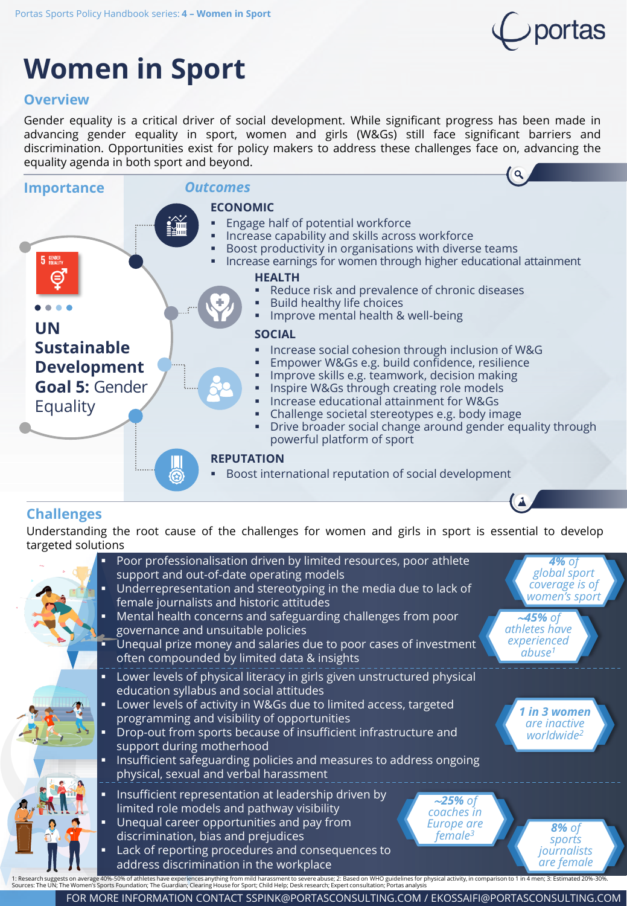

# **Women in Sport**

#### **Overview**

Gender equality is a critical driver of social development. While significant progress has been made in advancing gender equality in sport, women and girls (W&Gs) still face significant barriers and discrimination. Opportunities exist for policy makers to address these challenges face on, advancing the equality agenda in both sport and beyond.



#### **Challenges**

Understanding the root cause of the challenges for women and girls in sport is essential to develop targeted solutions



FOR MORE INFORMATION CONTACT SSPINK@PORTASCONSULTING.COM / EKOSSAIFI@PORTASCONSULTING.COM